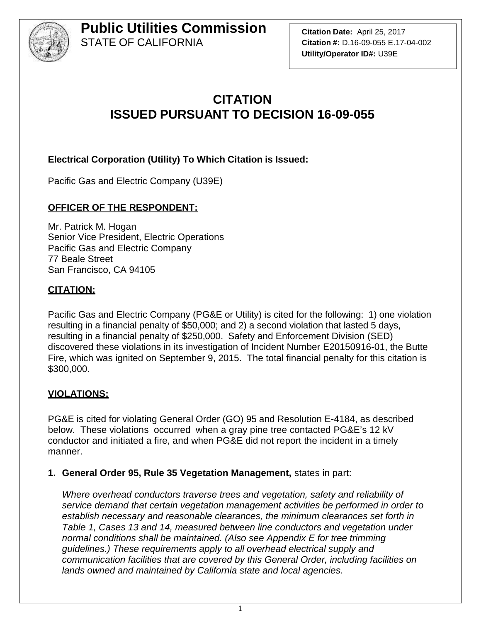

**Citation Date:** April 25, 2017 **Citation #:** D.16-09-055 E.17-04-002 **Utility/Operator ID#:** U39E

### **CITATION ISSUED PURSUANT TO DECISION 16-09-055**

#### **Electrical Corporation (Utility) To Which Citation is Issued:**

Pacific Gas and Electric Company (U39E)

#### **OFFICER OF THE RESPONDENT:**

Mr. Patrick M. Hogan Senior Vice President, Electric Operations Pacific Gas and Electric Company 77 Beale Street San Francisco, CA 94105

#### **CITATION:**

Pacific Gas and Electric Company (PG&E or Utility) is cited for the following: 1) one violation resulting in a financial penalty of \$50,000; and 2) a second violation that lasted 5 days, resulting in a financial penalty of \$250,000. Safety and Enforcement Division (SED) discovered these violations in its investigation of Incident Number E20150916-01, the Butte Fire, which was ignited on September 9, 2015. The total financial penalty for this citation is \$300,000.

#### **VIOLATIONS:**

PG&E is cited for violating General Order (GO) 95 and Resolution E-4184, as described below. These violations occurred when a gray pine tree contacted PG&E's 12 kV conductor and initiated a fire, and when PG&E did not report the incident in a timely manner.

#### **1. General Order 95, Rule 35 Vegetation Management,** states in part:

*Where overhead conductors traverse trees and vegetation, safety and reliability of service demand that certain vegetation management activities be performed in order to establish necessary and reasonable clearances, the minimum clearances set forth in Table 1, Cases 13 and 14, measured between line conductors and vegetation under normal conditions shall be maintained. (Also see Appendix E for tree trimming guidelines.) These requirements apply to all overhead electrical supply and communication facilities that are covered by this General Order, including facilities on lands owned and maintained by California state and local agencies.*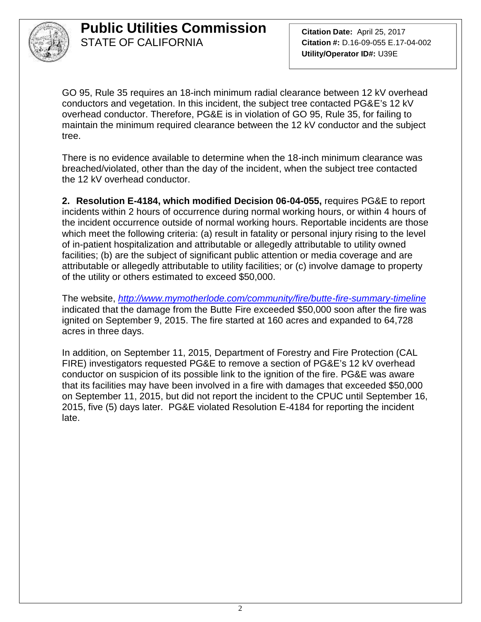

**Citation Date:** April 25, 2017 **Citation #:** D.16-09-055 E.17-04-002 **Utility/Operator ID#:** U39E

GO 95, Rule 35 requires an 18-inch minimum radial clearance between 12 kV overhead conductors and vegetation. In this incident, the subject tree contacted PG&E's 12 kV overhead conductor. Therefore, PG&E is in violation of GO 95, Rule 35, for failing to maintain the minimum required clearance between the 12 kV conductor and the subject tree.

There is no evidence available to determine when the 18-inch minimum clearance was breached/violated, other than the day of the incident, when the subject tree contacted the 12 kV overhead conductor.

**2. Resolution E-4184, which modified Decision 06-04-055,** requires PG&E to report incidents within 2 hours of occurrence during normal working hours, or within 4 hours of the incident occurrence outside of normal working hours. Reportable incidents are those which meet the following criteria: (a) result in fatality or personal injury rising to the level of in-patient hospitalization and attributable or allegedly attributable to utility owned facilities; (b) are the subject of significant public attention or media coverage and are attributable or allegedly attributable to utility facilities; or (c) involve damage to property of the utility or others estimated to exceed \$50,000.

The website, *http://www.mymotherlode.com/community/fire/butte-fire-summary-timeline* indicated that the damage from the Butte Fire exceeded \$50,000 soon after the fire was ignited on September 9, 2015. The fire started at 160 acres and expanded to 64,728 acres in three days.

In addition, on September 11, 2015, Department of Forestry and Fire Protection (CAL FIRE) investigators requested PG&E to remove a section of PG&E's 12 kV overhead conductor on suspicion of its possible link to the ignition of the fire. PG&E was aware that its facilities may have been involved in a fire with damages that exceeded \$50,000 on September 11, 2015, but did not report the incident to the CPUC until September 16, 2015, five (5) days later. PG&E violated Resolution E-4184 for reporting the incident late.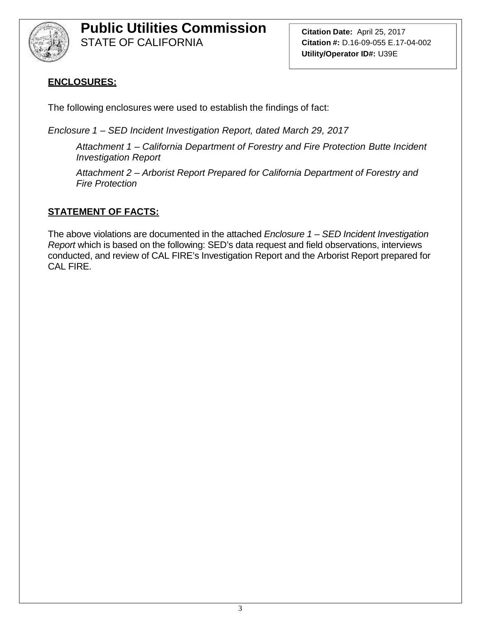

**Citation Date:** April 25, 2017 **Citation #:** D.16-09-055 E.17-04-002 **Utility/Operator ID#:** U39E

### **ENCLOSURES:**

The following enclosures were used to establish the findings of fact:

*Enclosure 1 – SED Incident Investigation Report, dated March 29, 2017*

*Attachment 1 – California Department of Forestry and Fire Protection Butte Incident Investigation Report*

*Attachment 2 – Arborist Report Prepared for California Department of Forestry and Fire Protection*

### **STATEMENT OF FACTS:**

The above violations are documented in the attached *Enclosure 1 – SED Incident Investigation Report* which is based on the following: SED's data request and field observations, interviews conducted, and review of CAL FIRE's Investigation Report and the Arborist Report prepared for CAL FIRE.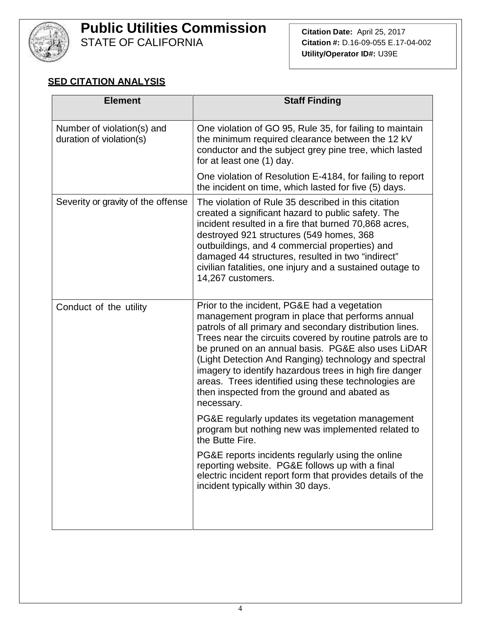

# **Public Utilities Commission**

STATE OF CALIFORNIA

#### **SED CITATION ANALYSIS**

| <b>Element</b>                                         | <b>Staff Finding</b>                                                                                                                                                                                                                                                                                                                                                                                                                                                                                                      |
|--------------------------------------------------------|---------------------------------------------------------------------------------------------------------------------------------------------------------------------------------------------------------------------------------------------------------------------------------------------------------------------------------------------------------------------------------------------------------------------------------------------------------------------------------------------------------------------------|
| Number of violation(s) and<br>duration of violation(s) | One violation of GO 95, Rule 35, for failing to maintain<br>the minimum required clearance between the 12 kV<br>conductor and the subject grey pine tree, which lasted<br>for at least one (1) day.                                                                                                                                                                                                                                                                                                                       |
|                                                        | One violation of Resolution E-4184, for failing to report<br>the incident on time, which lasted for five (5) days.                                                                                                                                                                                                                                                                                                                                                                                                        |
| Severity or gravity of the offense                     | The violation of Rule 35 described in this citation<br>created a significant hazard to public safety. The<br>incident resulted in a fire that burned 70,868 acres,<br>destroyed 921 structures (549 homes, 368<br>outbuildings, and 4 commercial properties) and<br>damaged 44 structures, resulted in two "indirect"<br>civilian fatalities, one injury and a sustained outage to<br>14,267 customers.                                                                                                                   |
| Conduct of the utility                                 | Prior to the incident, PG&E had a vegetation<br>management program in place that performs annual<br>patrols of all primary and secondary distribution lines.<br>Trees near the circuits covered by routine patrols are to<br>be pruned on an annual basis. PG&E also uses LiDAR<br>(Light Detection And Ranging) technology and spectral<br>imagery to identify hazardous trees in high fire danger<br>areas. Trees identified using these technologies are<br>then inspected from the ground and abated as<br>necessary. |
|                                                        | PG&E regularly updates its vegetation management<br>program but nothing new was implemented related to<br>the Butte Fire.                                                                                                                                                                                                                                                                                                                                                                                                 |
|                                                        | PG&E reports incidents regularly using the online<br>reporting website. PG&E follows up with a final<br>electric incident report form that provides details of the<br>incident typically within 30 days.                                                                                                                                                                                                                                                                                                                  |
|                                                        |                                                                                                                                                                                                                                                                                                                                                                                                                                                                                                                           |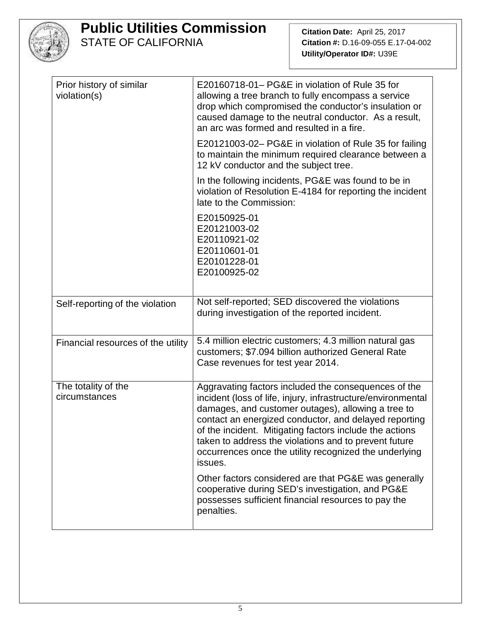

|                                          | E20160718-01– PG&E in violation of Rule 35 for                                                                                                                                                                                                                                                                                                                                                                               |
|------------------------------------------|------------------------------------------------------------------------------------------------------------------------------------------------------------------------------------------------------------------------------------------------------------------------------------------------------------------------------------------------------------------------------------------------------------------------------|
| Prior history of similar<br>violation(s) | allowing a tree branch to fully encompass a service<br>drop which compromised the conductor's insulation or<br>caused damage to the neutral conductor. As a result,<br>an arc was formed and resulted in a fire.                                                                                                                                                                                                             |
|                                          | E20121003-02- PG&E in violation of Rule 35 for failing<br>to maintain the minimum required clearance between a<br>12 kV conductor and the subject tree.                                                                                                                                                                                                                                                                      |
|                                          | In the following incidents, PG&E was found to be in<br>violation of Resolution E-4184 for reporting the incident<br>late to the Commission:                                                                                                                                                                                                                                                                                  |
|                                          | E20150925-01<br>E20121003-02<br>E20110921-02<br>E20110601-01<br>E20101228-01<br>E20100925-02                                                                                                                                                                                                                                                                                                                                 |
| Self-reporting of the violation          | Not self-reported; SED discovered the violations<br>during investigation of the reported incident.                                                                                                                                                                                                                                                                                                                           |
| Financial resources of the utility       | 5.4 million electric customers; 4.3 million natural gas<br>customers; \$7.094 billion authorized General Rate<br>Case revenues for test year 2014.                                                                                                                                                                                                                                                                           |
| The totality of the<br>circumstances     | Aggravating factors included the consequences of the<br>incident (loss of life, injury, infrastructure/environmental<br>damages, and customer outages), allowing a tree to<br>contact an energized conductor, and delayed reporting<br>of the incident. Mitigating factors include the actions<br>taken to address the violations and to prevent future<br>occurrences once the utility recognized the underlying<br>issues. |
|                                          | Other factors considered are that PG&E was generally<br>cooperative during SED's investigation, and PG&E<br>possesses sufficient financial resources to pay the<br>penalties.                                                                                                                                                                                                                                                |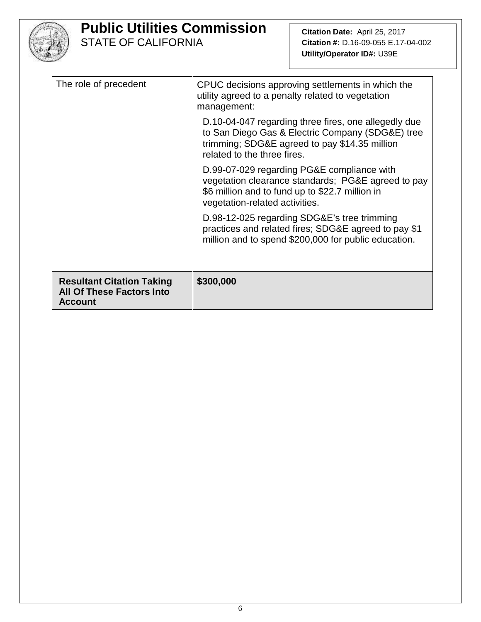

| The role of precedent                                                                  | CPUC decisions approving settlements in which the<br>utility agreed to a penalty related to vegetation<br>management:<br>D.10-04-047 regarding three fires, one allegedly due<br>to San Diego Gas & Electric Company (SDG&E) tree |  |
|----------------------------------------------------------------------------------------|-----------------------------------------------------------------------------------------------------------------------------------------------------------------------------------------------------------------------------------|--|
|                                                                                        | trimming; SDG&E agreed to pay \$14.35 million<br>related to the three fires.                                                                                                                                                      |  |
|                                                                                        | D.99-07-029 regarding PG&E compliance with<br>vegetation clearance standards; PG&E agreed to pay<br>\$6 million and to fund up to \$22.7 million in<br>vegetation-related activities.                                             |  |
|                                                                                        | D.98-12-025 regarding SDG&E's tree trimming<br>practices and related fires; SDG&E agreed to pay \$1<br>million and to spend \$200,000 for public education.                                                                       |  |
| <b>Resultant Citation Taking</b><br><b>All Of These Factors Into</b><br><b>Account</b> | \$300,000                                                                                                                                                                                                                         |  |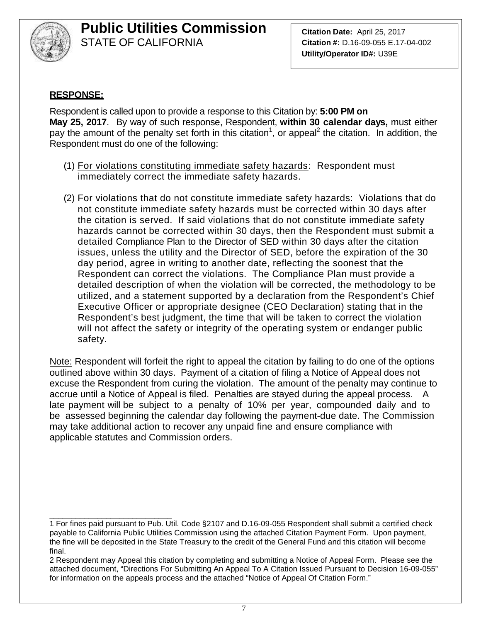

**Citation Date:** April 25, 2017 **Citation #:** D.16-09-055 E.17-04-002 **Utility/Operator ID#:** U39E

#### **RESPONSE:**

Respondent is called upon to provide a response to this Citation by: **5:00 PM on May 25, 2017**. By way of such response, Respondent, **within 30 calendar days,** must either pay the amount of the penalty set forth in this citation<sup>1</sup>, or appeal<sup>2</sup> the citation. In addition, the Respondent must do one of the following:

- (1) For violations constituting immediate safety hazards: Respondent must immediately correct the immediate safety hazards.
- (2) For violations that do not constitute immediate safety hazards: Violations that do not constitute immediate safety hazards must be corrected within 30 days after the citation is served. If said violations that do not constitute immediate safety hazards cannot be corrected within 30 days, then the Respondent must submit a detailed Compliance Plan to the Director of SED within 30 days after the citation issues, unless the utility and the Director of SED, before the expiration of the 30 day period, agree in writing to another date, reflecting the soonest that the Respondent can correct the violations. The Compliance Plan must provide a detailed description of when the violation will be corrected, the methodology to be utilized, and a statement supported by a declaration from the Respondent's Chief Executive Officer or appropriate designee (CEO Declaration) stating that in the Respondent's best judgment, the time that will be taken to correct the violation will not affect the safety or integrity of the operating system or endanger public safety.

Note: Respondent will forfeit the right to appeal the citation by failing to do one of the options outlined above within 30 days. Payment of a citation of filing a Notice of Appeal does not excuse the Respondent from curing the violation. The amount of the penalty may continue to accrue until a Notice of Appeal is filed. Penalties are stayed during the appeal process. A late payment will be subject to a penalty of 10% per year, compounded daily and to be assessed beginning the calendar day following the payment-due date. The Commission may take additional action to recover any unpaid fine and ensure compliance with applicable statutes and Commission orders.

\_\_\_\_\_\_\_\_\_\_\_\_\_\_\_\_\_\_\_\_\_\_\_\_\_\_\_\_ 1 For fines paid pursuant to Pub. Util. Code §2107 and D.16-09-055 Respondent shall submit a certified check payable to California Public Utilities Commission using the attached Citation Payment Form. Upon payment, the fine will be deposited in the State Treasury to the credit of the General Fund and this citation will become final.

<sup>2</sup> Respondent may Appeal this citation by completing and submitting a Notice of Appeal Form. Please see the attached document, "Directions For Submitting An Appeal To A Citation Issued Pursuant to Decision 16-09-055" for information on the appeals process and the attached "Notice of Appeal Of Citation Form."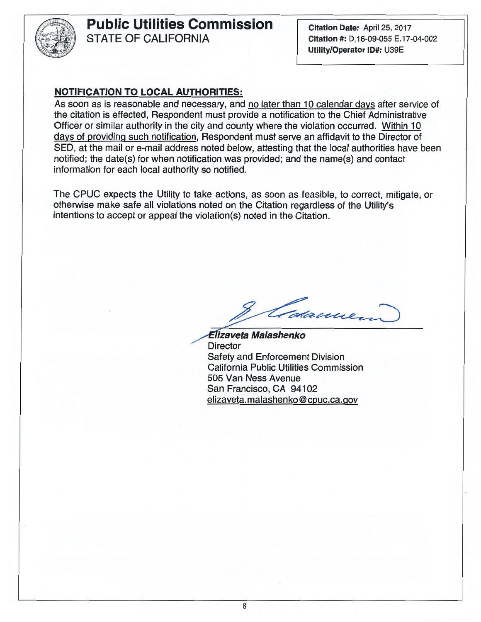

#### STATE OF CALIFORNIA **Public Utilities Commission**

Utility/Operator ID#: U39E Citation #: D.16-09-055 E.17-04-002 **Citation Date: April 25, 2017** 

#### NOTIFICATION TO LOCAL AUTHORITIES:

information for each local authority so notified. notified; the date(s) for when notification was provided; and the name(s) and contact SED, at the mail or e-mail address noted below, attesting that the local authorities have been days of providing such notification, Respondent must serve an affidavit to the Director of Officer or similar authority in the city and county where the violation occurred. Within 10 the citation is effected, Respondent must provide a notification to the Chief Administrative As soon as is reasonable and necessary, and no later than 10 calendar days after service of

intentions to accept or appeal the violation(s) noted in the Citation. otherwise make safe all violations noted on the Citation regardless of the Utility's The CPUC expects the Utility to take actions, as soon as feasible, to correct, mitigate, or

dame

elizaveta.malashenko@cpuc.ca.gov San Francisco, CA 94102 505 Van Ness Avenue California Public Utilities Commission Safety and Enforcement Division Director *El̃izaveta Malashenko*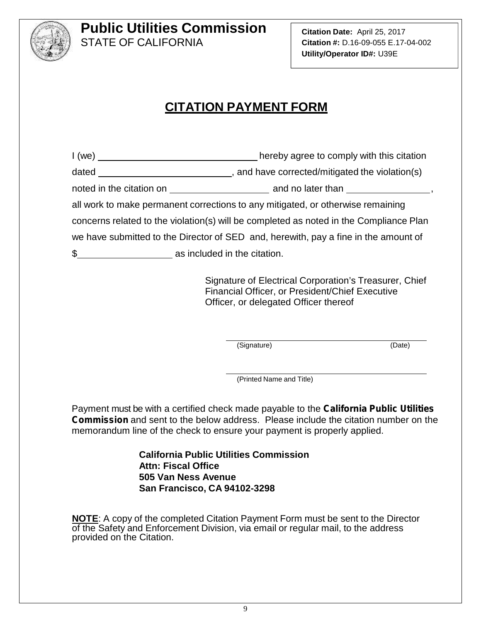

**Citation Date:** April 25, 2017 **Citation #:** D.16-09-055 E.17-04-002 **Utility/Operator ID#:** U39E

### **CITATION PAYMENT FORM**

I (we) \_\_\_\_\_\_\_\_\_\_\_\_\_\_\_\_\_\_\_\_\_\_\_\_\_\_\_\_\_\_\_\_\_\_hereby agree to comply with this citation dated , and have corrected/mitigated the violation(s) noted in the citation on and no later than , all work to make permanent corrections to any mitigated, or otherwise remaining concerns related to the violation(s) will be completed as noted in the Compliance Plan we have submitted to the Director of SED and, herewith, pay a fine in the amount of \$ as included in the citation.

> Signature of Electrical Corporation's Treasurer, Chief Financial Officer, or President/Chief Executive Officer, or delegated Officer thereof

> > (Signature) (Date)

(Printed Name and Title)

Payment must be with a certified check made payable to the *California Public Utilities Commission* and sent to the below address. Please include the citation number on the memorandum line of the check to ensure your payment is properly applied.

> **California Public Utilities Commission Attn: Fiscal Office 505 Van Ness Avenue San Francisco, CA 94102-3298**

**NOTE**: A copy of the completed Citation Payment Form must be sent to the Director of the Safety and Enforcement Division, via email or regular mail, to the address provided on the Citation.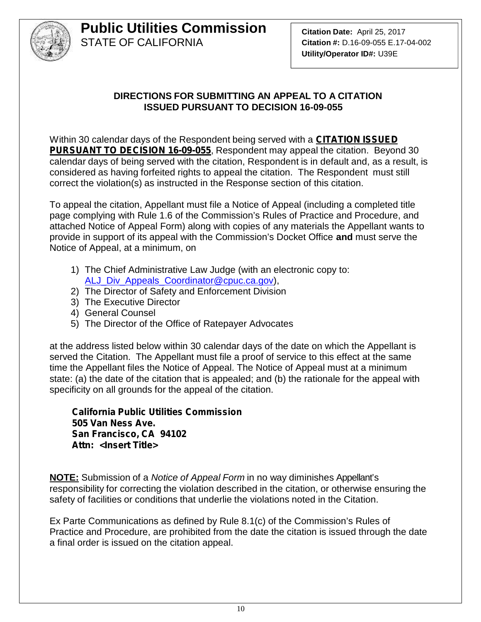

#### **DIRECTIONS FOR SUBMITTING AN APPEAL TO A CITATION ISSUED PURSUANT TO DECISION 16-09-055**

Within 30 calendar days of the Respondent being served with a *CITATION ISSUED PURSUANT TO DECISION 16-09-055*, Respondent may appeal the citation. Beyond 30 calendar days of being served with the citation, Respondent is in default and, as a result, is considered as having forfeited rights to appeal the citation. The Respondent must still correct the violation(s) as instructed in the Response section of this citation.

To appeal the citation, Appellant must file a Notice of Appeal (including a completed title page complying with Rule 1.6 of the Commission's Rules of Practice and Procedure, and attached Notice of Appeal Form) along with copies of any materials the Appellant wants to provide in support of its appeal with the Commission's Docket Office **and** must serve the Notice of Appeal, at a minimum, on

- 1) The Chief Administrative Law Judge (with an electronic copy to: ALJ\_Div\_Appeals\_Coordinator@cpuc.ca.gov),
- 2) The Director of Safety and Enforcement Division
- 3) The Executive Director
- 4) General Counsel
- 5) The Director of the Office of Ratepayer Advocates

at the address listed below within 30 calendar days of the date on which the Appellant is served the Citation. The Appellant must file a proof of service to this effect at the same time the Appellant files the Notice of Appeal. The Notice of Appeal must at a minimum state: (a) the date of the citation that is appealed; and (b) the rationale for the appeal with specificity on all grounds for the appeal of the citation.

*California Public Utilities Commission 505 Van Ness Ave. San Francisco, CA 94102 Attn: <Insert Title>*

**NOTE:** Submission of a *Notice of Appeal Form* in no way diminishes Appellant's responsibility for correcting the violation described in the citation, or otherwise ensuring the safety of facilities or conditions that underlie the violations noted in the Citation.

Ex Parte Communications as defined by Rule 8.1(c) of the Commission's Rules of Practice and Procedure, are prohibited from the date the citation is issued through the date a final order is issued on the citation appeal.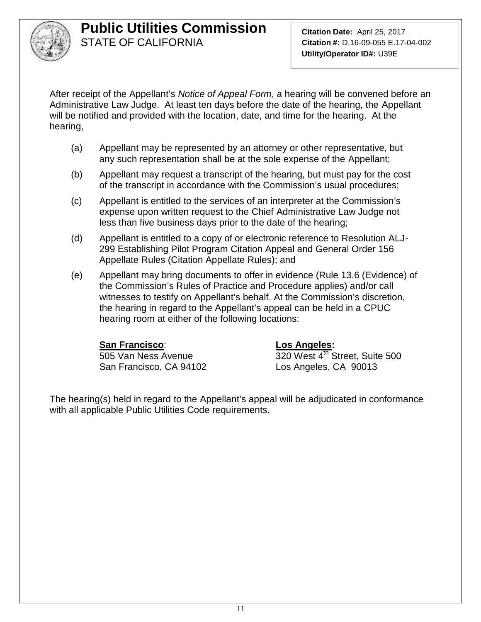

After receipt of the Appellant's *Notice of Appeal Form*, a hearing will be convened before an Administrative Law Judge. At least ten days before the date of the hearing, the Appellant will be notified and provided with the location, date, and time for the hearing. At the hearing,

- (a) Appellant may be represented by an attorney or other representative, but any such representation shall be at the sole expense of the Appellant;
- (b) Appellant may request a transcript of the hearing, but must pay for the cost of the transcript in accordance with the Commission's usual procedures;
- (c) Appellant is entitled to the services of an interpreter at the Commission's expense upon written request to the Chief Administrative Law Judge not less than five business days prior to the date of the hearing;
- (d) Appellant is entitled to a copy of or electronic reference to Resolution ALJ- 299 Establishing Pilot Program Citation Appeal and General Order 156 Appellate Rules (Citation Appellate Rules); and
- (e) Appellant may bring documents to offer in evidence (Rule 13.6 (Evidence) of the Commission's Rules of Practice and Procedure applies) and/or call witnesses to testify on Appellant's behalf. At the Commission's discretion, the hearing in regard to the Appellant's appeal can be held in a CPUC hearing room at either of the following locations:

#### **San Francisco**: **Los Angeles:**

San Francisco, CA 94102 Los Angeles, CA 90013

505 Van Ness Avenue 320 West 4<sup>th</sup> Street, Suite 500

The hearing(s) held in regard to the Appellant's appeal will be adjudicated in conformance with all applicable Public Utilities Code requirements.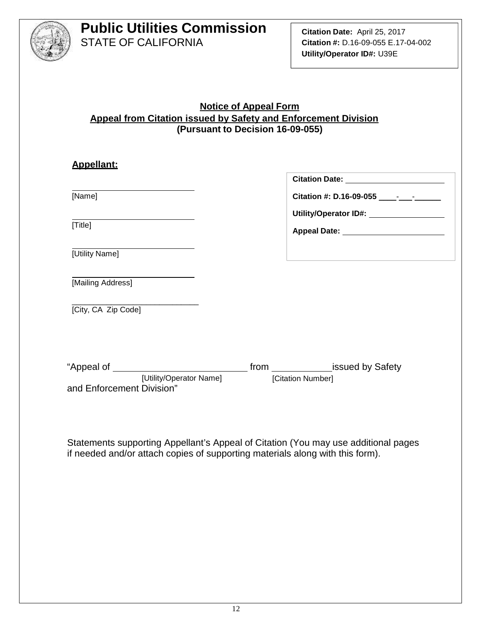

#### **Notice of Appeal Form Appeal from Citation issued by Safety and Enforcement Division (Pursuant to Decision 16-09-055)**

| <b>Appellant:</b>                                    |                                          |
|------------------------------------------------------|------------------------------------------|
|                                                      |                                          |
| [Name]                                               |                                          |
|                                                      | Utility/Operator ID#: __________________ |
| [Title]                                              |                                          |
| [Utility Name]                                       |                                          |
| [Mailing Address]                                    |                                          |
| [City, CA Zip Code]                                  |                                          |
|                                                      |                                          |
|                                                      |                                          |
| [Utility/Operator Name]<br>and Enforcement Division" | [Citation Number]                        |
|                                                      |                                          |

Statements supporting Appellant's Appeal of Citation (You may use additional pages if needed and/or attach copies of supporting materials along with this form).